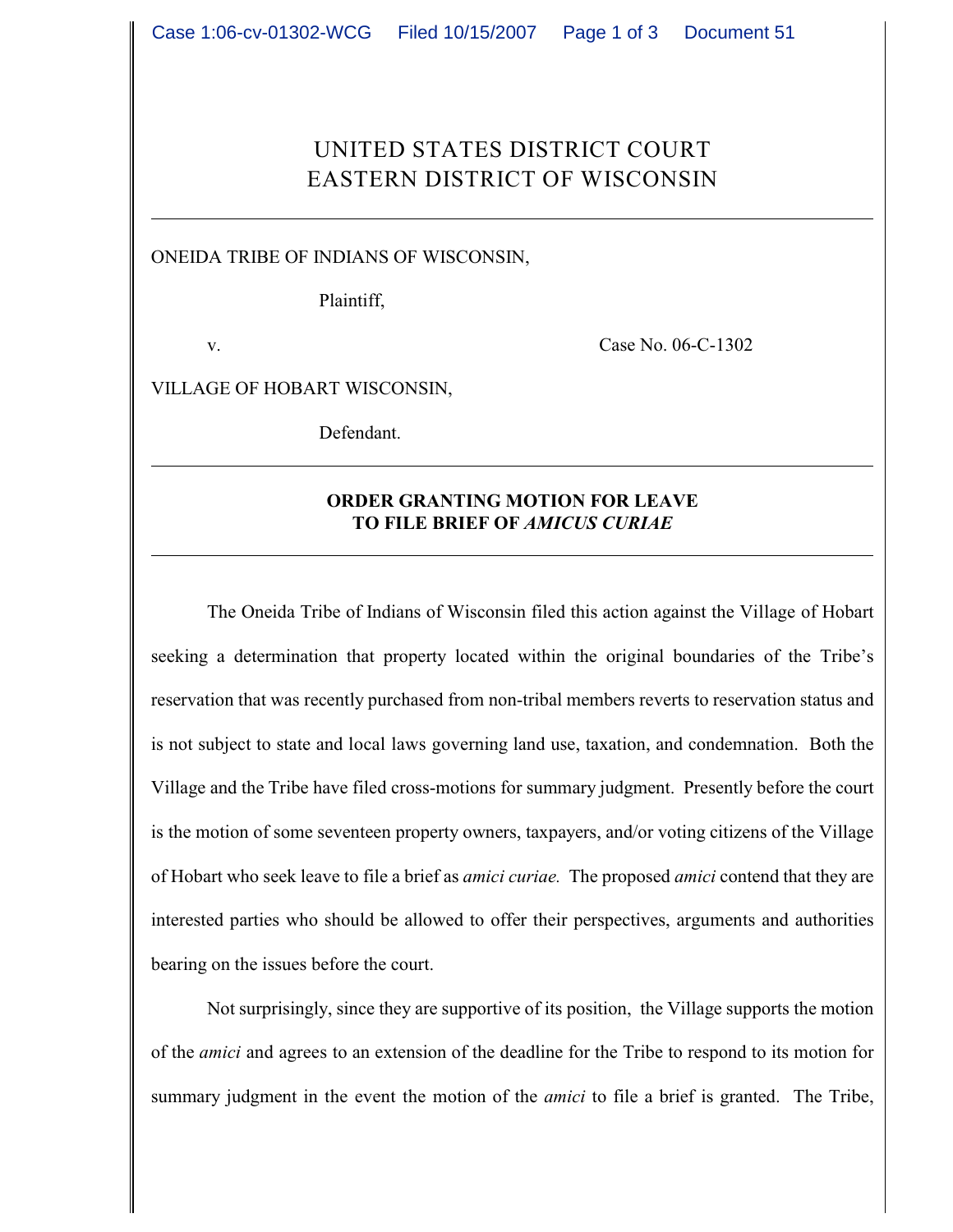## UNITED STATES DISTRICT COURT EASTERN DISTRICT OF WISCONSIN

ONEIDA TRIBE OF INDIANS OF WISCONSIN,

Plaintiff,

v. Case No. 06-C-1302

VILLAGE OF HOBART WISCONSIN,

Defendant.

## **ORDER GRANTING MOTION FOR LEAVE TO FILE BRIEF OF** *AMICUS CURIAE*

The Oneida Tribe of Indians of Wisconsin filed this action against the Village of Hobart seeking a determination that property located within the original boundaries of the Tribe's reservation that was recently purchased from non-tribal members reverts to reservation status and is not subject to state and local laws governing land use, taxation, and condemnation. Both the Village and the Tribe have filed cross-motions for summary judgment. Presently before the court is the motion of some seventeen property owners, taxpayers, and/or voting citizens of the Village of Hobart who seek leave to file a brief as *amici curiae.* The proposed *amici* contend that they are interested parties who should be allowed to offer their perspectives, arguments and authorities bearing on the issues before the court.

Not surprisingly, since they are supportive of its position, the Village supports the motion of the *amici* and agrees to an extension of the deadline for the Tribe to respond to its motion for summary judgment in the event the motion of the *amici* to file a brief is granted. The Tribe,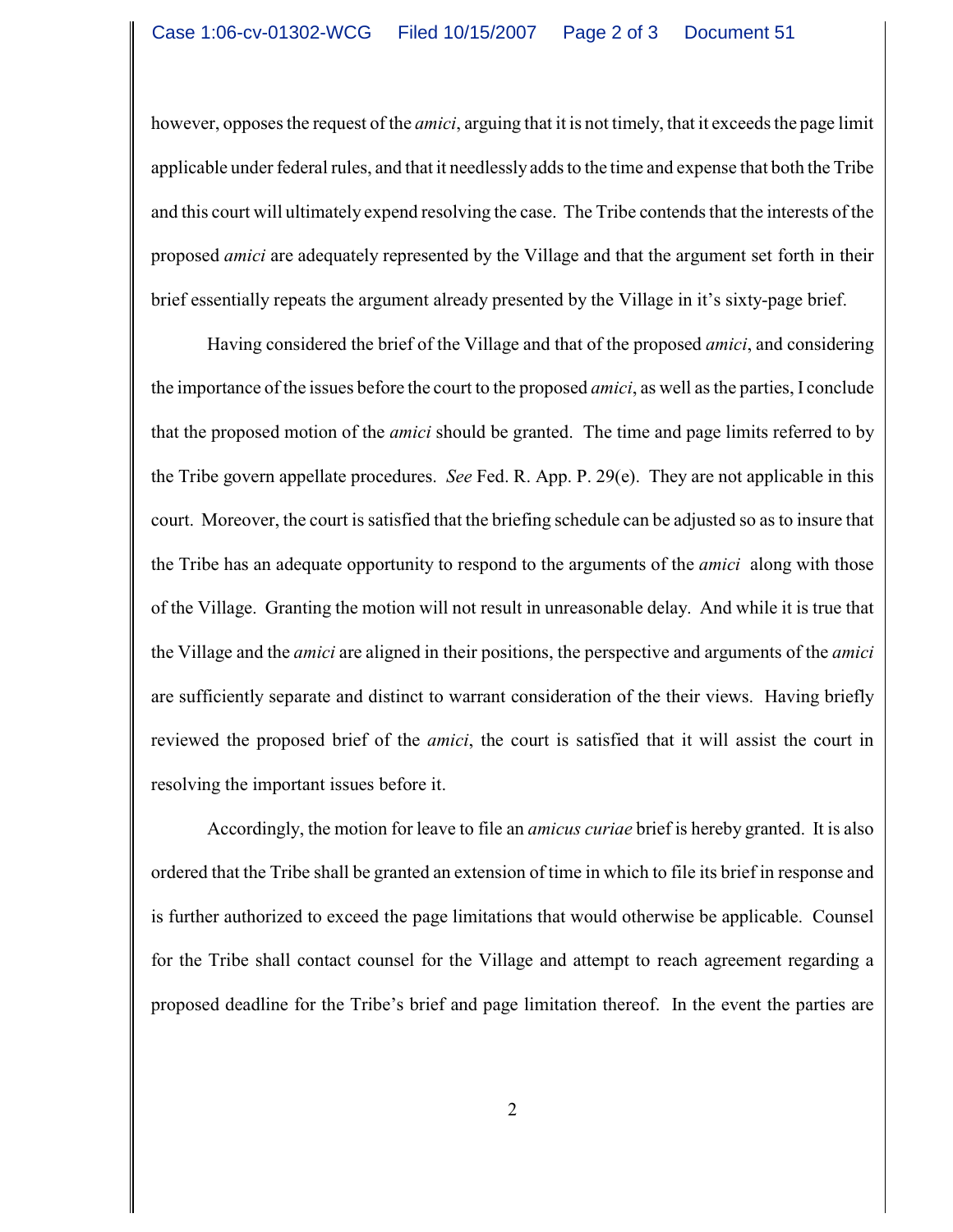however, opposes the request of the *amici*, arguing that it is not timely, that it exceeds the page limit applicable under federal rules, and that it needlessly adds to the time and expense that both the Tribe and this court will ultimately expend resolving the case. The Tribe contends that the interests of the proposed *amici* are adequately represented by the Village and that the argument set forth in their brief essentially repeats the argument already presented by the Village in it's sixty-page brief.

Having considered the brief of the Village and that of the proposed *amici*, and considering the importance of the issues before the court to the proposed *amici*, as well as the parties, I conclude that the proposed motion of the *amici* should be granted. The time and page limits referred to by the Tribe govern appellate procedures. *See* Fed. R. App. P. 29(e). They are not applicable in this court. Moreover, the court is satisfied that the briefing schedule can be adjusted so as to insure that the Tribe has an adequate opportunity to respond to the arguments of the *amici* along with those of the Village. Granting the motion will not result in unreasonable delay. And while it is true that the Village and the *amici* are aligned in their positions, the perspective and arguments of the *amici* are sufficiently separate and distinct to warrant consideration of the their views. Having briefly reviewed the proposed brief of the *amici*, the court is satisfied that it will assist the court in resolving the important issues before it.

Accordingly, the motion for leave to file an *amicus curiae* brief is hereby granted. It is also ordered that the Tribe shall be granted an extension of time in which to file its brief in response and is further authorized to exceed the page limitations that would otherwise be applicable. Counsel for the Tribe shall contact counsel for the Village and attempt to reach agreement regarding a proposed deadline for the Tribe's brief and page limitation thereof. In the event the parties are